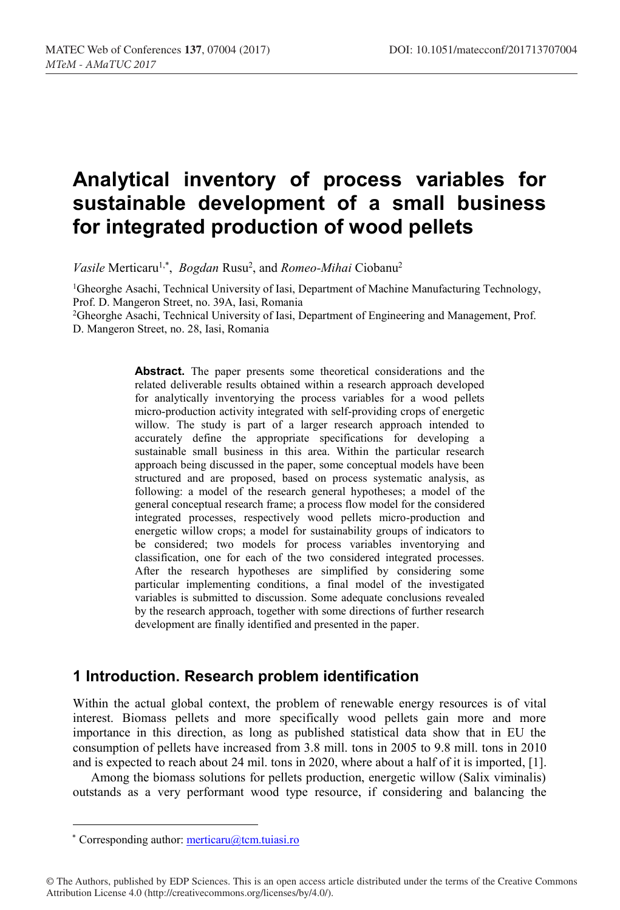# **Analytical inventory of process variables for sustainable development of a small business for integrated production of wood pellets**

*Vasile* Merticaru<sup>1,\*</sup>, *Bogdan* Rusu<sup>2</sup>, and *Romeo-Mihai* Ciobanu<sup>2</sup>

1Gheorghe Asachi, Technical University of Iasi, Department of Machine Manufacturing Technology, Prof. D. Mangeron Street, no. 39A, Iasi, Romania

2Gheorghe Asachi, Technical University of Iasi, Department of Engineering and Management, Prof. D. Mangeron Street, no. 28, Iasi, Romania

> **Abstract.** The paper presents some theoretical considerations and the related deliverable results obtained within a research approach developed for analytically inventorying the process variables for a wood pellets micro-production activity integrated with self-providing crops of energetic willow. The study is part of a larger research approach intended to accurately define the appropriate specifications for developing a sustainable small business in this area. Within the particular research approach being discussed in the paper, some conceptual models have been structured and are proposed, based on process systematic analysis, as following: a model of the research general hypotheses; a model of the general conceptual research frame; a process flow model for the considered integrated processes, respectively wood pellets micro-production and energetic willow crops; a model for sustainability groups of indicators to be considered; two models for process variables inventorying and classification, one for each of the two considered integrated processes. After the research hypotheses are simplified by considering some particular implementing conditions, a final model of the investigated variables is submitted to discussion. Some adequate conclusions revealed by the research approach, together with some directions of further research development are finally identified and presented in the paper.

#### **1 Introduction. Research problem identification**

Within the actual global context, the problem of renewable energy resources is of vital interest. Biomass pellets and more specifically wood pellets gain more and more importance in this direction, as long as published statistical data show that in EU the consumption of pellets have increased from 3.8 mill. tons in 2005 to 9.8 mill. tons in 2010 and is expected to reach about 24 mil. tons in 2020, where about a half of it is imported, [1].

Among the biomass solutions for pellets production, energetic willow (Salix viminalis) outstands as a very performant wood type resource, if considering and balancing the

\* Corresponding author:  $\text{metricaru}(\partial_t \text{tcm}$ .tuiasi.ro

<sup>©</sup> The Authors, published by EDP Sciences. This is an open access article distributed under the terms of the Creative Commons Attribution License 4.0 (http://creativecommons.org/licenses/by/4.0/).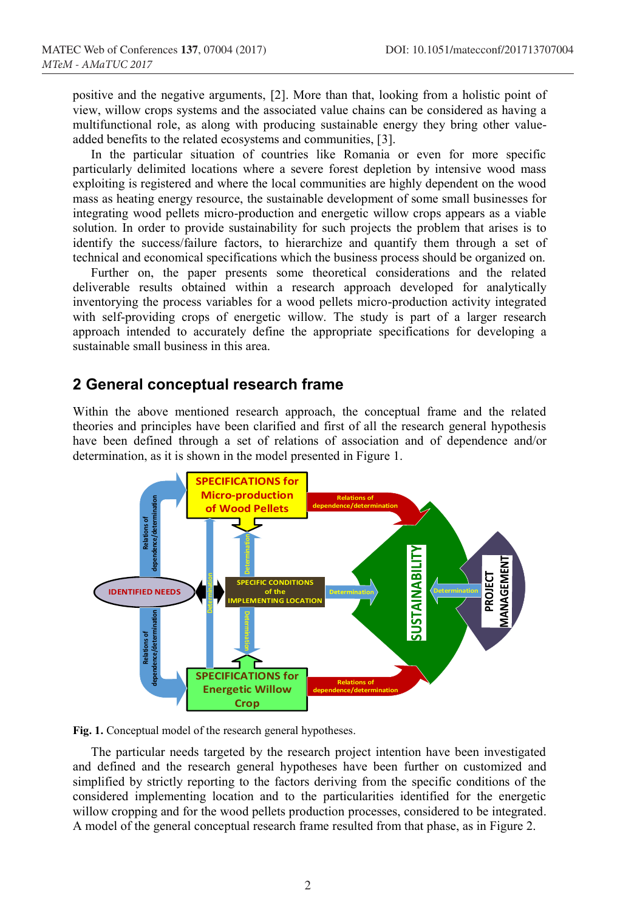positive and the negative arguments, [2]. More than that, looking from a holistic point of view, willow crops systems and the associated value chains can be considered as having a multifunctional role, as along with producing sustainable energy they bring other valueadded benefits to the related ecosystems and communities, [3].

In the particular situation of countries like Romania or even for more specific particularly delimited locations where a severe forest depletion by intensive wood mass exploiting is registered and where the local communities are highly dependent on the wood mass as heating energy resource, the sustainable development of some small businesses for integrating wood pellets micro-production and energetic willow crops appears as a viable solution. In order to provide sustainability for such projects the problem that arises is to identify the success/failure factors, to hierarchize and quantify them through a set of technical and economical specifications which the business process should be organized on.

Further on, the paper presents some theoretical considerations and the related deliverable results obtained within a research approach developed for analytically inventorying the process variables for a wood pellets micro-production activity integrated with self-providing crops of energetic willow. The study is part of a larger research approach intended to accurately define the appropriate specifications for developing a sustainable small business in this area.

#### **2 General conceptual research frame**

Within the above mentioned research approach, the conceptual frame and the related theories and principles have been clarified and first of all the research general hypothesis have been defined through a set of relations of association and of dependence and/or determination, as it is shown in the model presented in Figure 1.



**Fig. 1.** Conceptual model of the research general hypotheses.

The particular needs targeted by the research project intention have been investigated and defined and the research general hypotheses have been further on customized and simplified by strictly reporting to the factors deriving from the specific conditions of the considered implementing location and to the particularities identified for the energetic willow cropping and for the wood pellets production processes, considered to be integrated. A model of the general conceptual research frame resulted from that phase, as in Figure 2.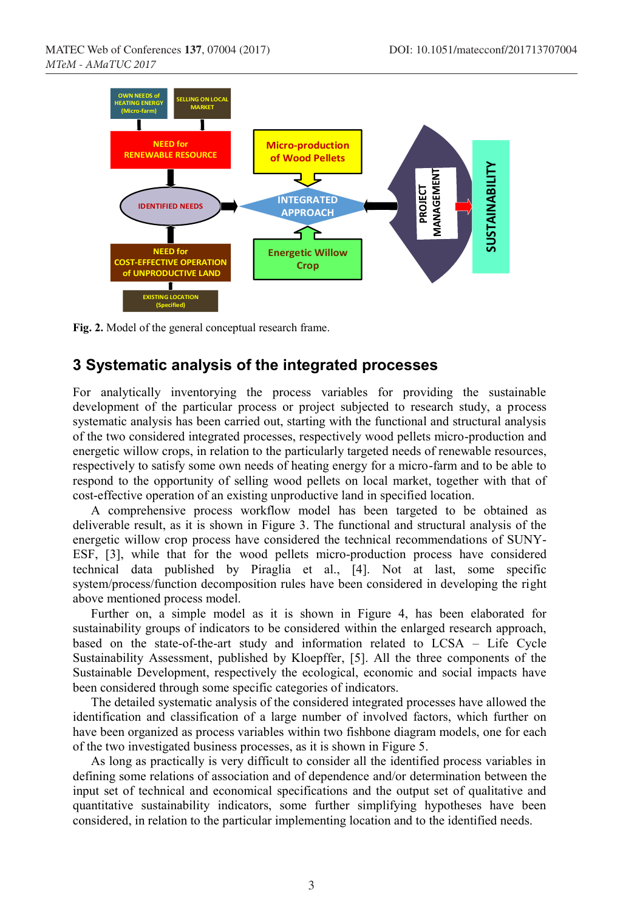

**Fig. 2.** Model of the general conceptual research frame.

#### **3 Systematic analysis of the integrated processes**

For analytically inventorying the process variables for providing the sustainable development of the particular process or project subjected to research study, a process systematic analysis has been carried out, starting with the functional and structural analysis of the two considered integrated processes, respectively wood pellets micro-production and energetic willow crops, in relation to the particularly targeted needs of renewable resources, respectively to satisfy some own needs of heating energy for a micro-farm and to be able to respond to the opportunity of selling wood pellets on local market, together with that of cost-effective operation of an existing unproductive land in specified location.

A comprehensive process workflow model has been targeted to be obtained as deliverable result, as it is shown in Figure 3. The functional and structural analysis of the energetic willow crop process have considered the technical recommendations of SUNY-ESF, [3], while that for the wood pellets micro-production process have considered technical data published by Piraglia et al., [4]. Not at last, some specific system/process/function decomposition rules have been considered in developing the right above mentioned process model.

Further on, a simple model as it is shown in Figure 4, has been elaborated for sustainability groups of indicators to be considered within the enlarged research approach, based on the state-of-the-art study and information related to LCSA – Life Cycle Sustainability Assessment, published by Kloepffer, [5]. All the three components of the Sustainable Development, respectively the ecological, economic and social impacts have been considered through some specific categories of indicators.

The detailed systematic analysis of the considered integrated processes have allowed the identification and classification of a large number of involved factors, which further on have been organized as process variables within two fishbone diagram models, one for each of the two investigated business processes, as it is shown in Figure 5.

As long as practically is very difficult to consider all the identified process variables in defining some relations of association and of dependence and/or determination between the input set of technical and economical specifications and the output set of qualitative and quantitative sustainability indicators, some further simplifying hypotheses have been considered, in relation to the particular implementing location and to the identified needs.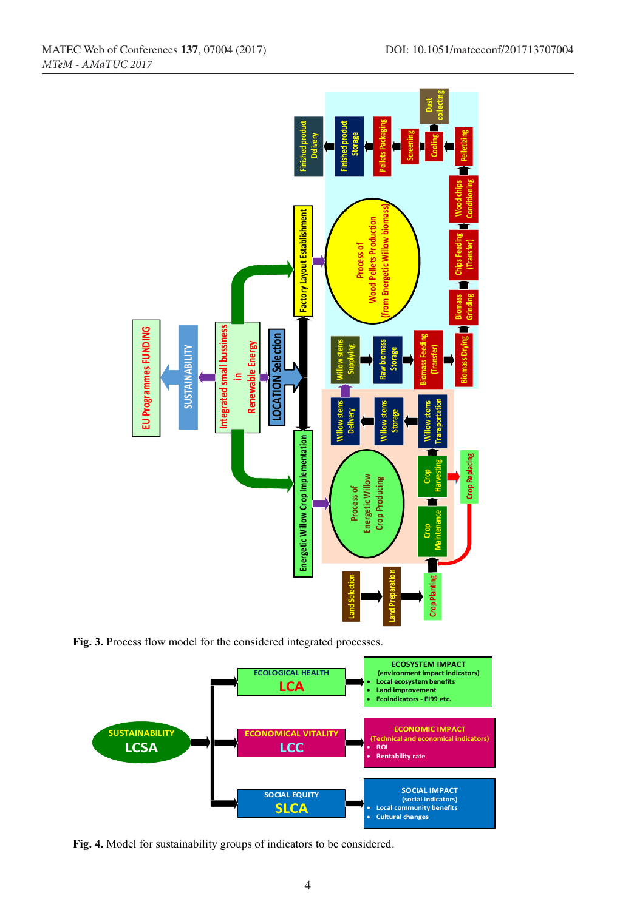

**Fig. 3.** Process flow model for the considered integrated processes.

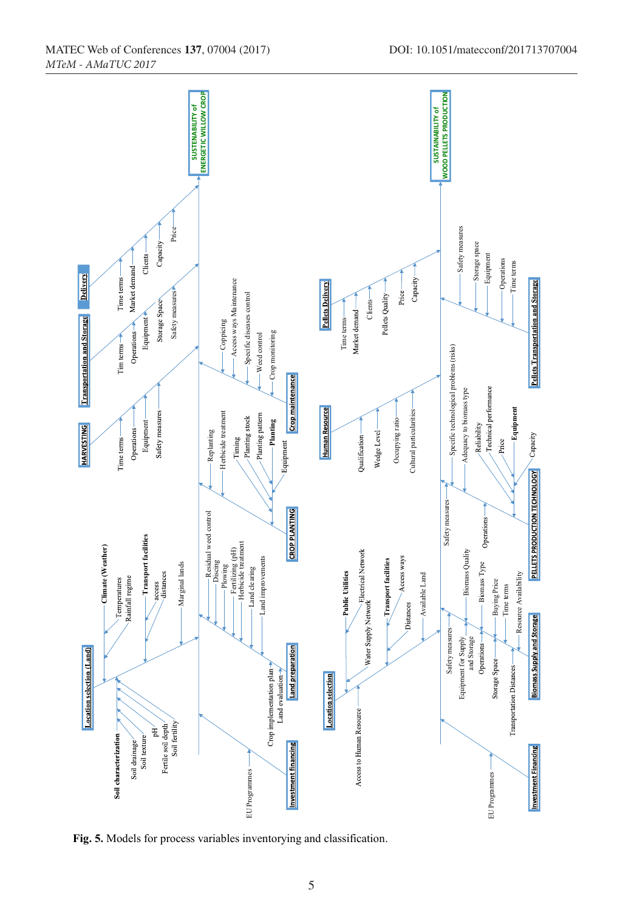

*MTeM - AMaTUC 2017*

5